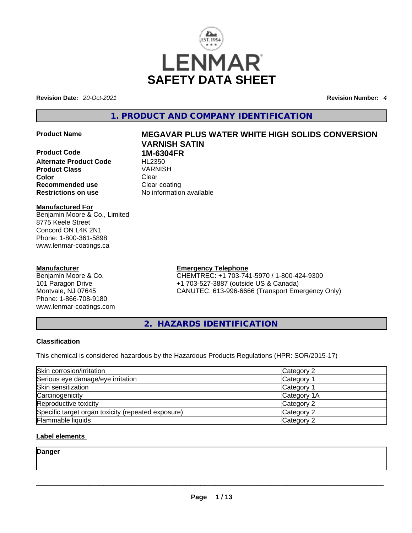

**Revision Date:** *20-Oct-2021* **Revision Number:** *4*

### **1. PRODUCT AND COMPANY IDENTIFICATION**

**Product Code 1M-6304FR Alternate Product Code** HL2350 **Product Class** VARNISH **Color Clear Recommended use Clear coating<br>
<b>Restrictions on use** No information

#### **Manufactured For** Benjamin Moore & Co., Limited 8775 Keele Street Concord ON L4K 2N1 Phone: 1-800-361-5898 www.lenmar-coatings.ca

#### **Manufacturer**

Benjamin Moore & Co. 101 Paragon Drive Montvale, NJ 07645 Phone: 1-866-708-9180 www.lenmar-coatings.com

# **Product Name MEGAVAR PLUS WATER WHITE HIGH SOLIDS CONVERSION VARNISH SATIN**

**Restrictions on use** No information available

**Emergency Telephone** CHEMTREC: +1 703-741-5970 / 1-800-424-9300 +1 703-527-3887 (outside US & Canada) CANUTEC: 613-996-6666 (Transport Emergency Only)

**2. HAZARDS IDENTIFICATION** 

#### **Classification**

This chemical is considered hazardous by the Hazardous Products Regulations (HPR: SOR/2015-17)

| Skin corrosion/irritation                          | Category 2  |
|----------------------------------------------------|-------------|
| Serious eye damage/eye irritation                  | Category 1  |
| Skin sensitization                                 | Category 1  |
| Carcinogenicity                                    | Category 1A |
| Reproductive toxicity                              | Category 2  |
| Specific target organ toxicity (repeated exposure) | Category 2  |
| <b>Flammable liquids</b>                           | Category 2  |

#### **Label elements**

**Danger**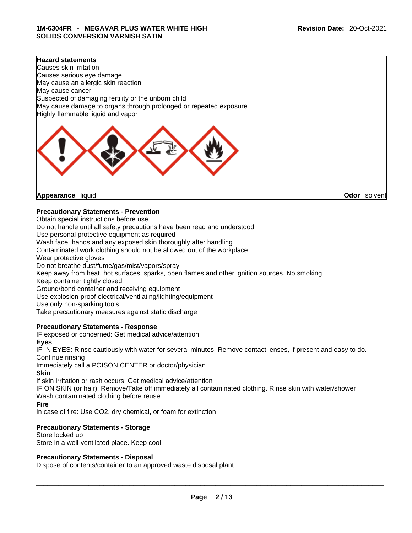#### **Hazard statements**

Causes skin irritation Causes serious eye damage May cause an allergic skin reaction May cause cancer Suspected of damaging fertility or the unborn child May cause damage to organs through prolonged or repeated exposure Highly flammable liquid and vapor



**Appearance** liquid **Odor** *Solvent* **Appearance** liquid **Odor Odor Odor Odor Odor Odor Odor Odor Odor Odor Odor Odor Odor Odor Odor Odor Odor Odor Odor Odor Odor Odor Odor Odor** 

#### **Precautionary Statements - Prevention**

Obtain special instructions before use

Do not handle until all safety precautions have been read and understood

Use personal protective equipment as required

Wash face, hands and any exposed skin thoroughly after handling

Contaminated work clothing should not be allowed out of the workplace

Wear protective gloves

Do not breathe dust/fume/gas/mist/vapors/spray

Keep away from heat, hot surfaces, sparks, open flames and other ignition sources. No smoking

Keep container tightly closed

Ground/bond container and receiving equipment

Use explosion-proof electrical/ventilating/lighting/equipment

Use only non-sparking tools

Take precautionary measures against static discharge

#### **Precautionary Statements - Response**

IF exposed or concerned: Get medical advice/attention

#### **Eyes**

IF IN EYES: Rinse cautiously with water forseveral minutes. Remove contact lenses, if present and easy to do. Continue rinsing

Immediately call a POISON CENTER or doctor/physician

#### **Skin**

If skin irritation or rash occurs: Get medical advice/attention

IF ON SKIN (or hair): Remove/Take off immediately all contaminated clothing. Rinse skin with water/shower Wash contaminated clothing before reuse

#### **Fire**

In case of fire: Use CO2, dry chemical, or foam for extinction

#### **Precautionary Statements - Storage**

Store locked up Store in a well-ventilated place. Keep cool

#### **Precautionary Statements - Disposal**

Dispose of contents/container to an approved waste disposal plant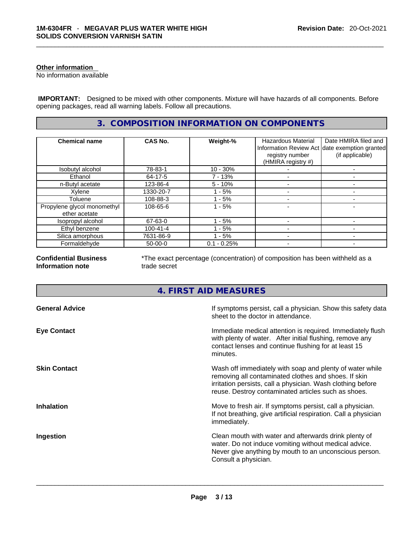#### **Other information**

No information available

 **IMPORTANT:** Designed to be mixed with other components. Mixture will have hazards of all components. Before opening packages, read all warning labels. Follow all precautions.

#### **3. COMPOSITION INFORMATION ON COMPONENTS**

| <b>Chemical name</b>                         | <b>CAS No.</b> | Weight-%      | <b>Hazardous Material</b><br>registry number<br>(HMIRA registry #) | Date HMIRA filed and<br>Information Review Act date exemption granted<br>(if applicable) |
|----------------------------------------------|----------------|---------------|--------------------------------------------------------------------|------------------------------------------------------------------------------------------|
| Isobutyl alcohol                             | 78-83-1        | $10 - 30%$    |                                                                    |                                                                                          |
| Ethanol                                      | 64-17-5        | 7 - 13%       |                                                                    |                                                                                          |
| n-Butyl acetate                              | 123-86-4       | $5 - 10%$     |                                                                    |                                                                                          |
| Xylene                                       | 1330-20-7      | - 5%          |                                                                    |                                                                                          |
| Toluene                                      | 108-88-3       | - 5%          |                                                                    |                                                                                          |
| Propylene glycol monomethyl<br>ether acetate | 108-65-6       | $1 - 5%$      |                                                                    |                                                                                          |
| Isopropyl alcohol                            | 67-63-0        | - 5%          |                                                                    |                                                                                          |
| Ethyl benzene                                | $100 - 41 - 4$ | $-5%$         |                                                                    |                                                                                          |
| Silica amorphous                             | 7631-86-9      | - 5%          |                                                                    |                                                                                          |
| Formaldehyde                                 | $50-00-0$      | $0.1 - 0.25%$ |                                                                    |                                                                                          |

**Confidential Business Information note**

\*The exact percentage (concentration) of composition has been withheld as a trade secret

### **4. FIRST AID MEASURES**

| <b>General Advice</b> | If symptoms persist, call a physician. Show this safety data<br>sheet to the doctor in attendance.                                                                                                                                     |
|-----------------------|----------------------------------------------------------------------------------------------------------------------------------------------------------------------------------------------------------------------------------------|
| <b>Eye Contact</b>    | Immediate medical attention is required. Immediately flush<br>with plenty of water. After initial flushing, remove any<br>contact lenses and continue flushing for at least 15<br>minutes.                                             |
| <b>Skin Contact</b>   | Wash off immediately with soap and plenty of water while<br>removing all contaminated clothes and shoes. If skin<br>irritation persists, call a physician. Wash clothing before<br>reuse. Destroy contaminated articles such as shoes. |
| <b>Inhalation</b>     | Move to fresh air. If symptoms persist, call a physician.<br>If not breathing, give artificial respiration. Call a physician<br>immediately.                                                                                           |
| Ingestion             | Clean mouth with water and afterwards drink plenty of<br>water. Do not induce vomiting without medical advice.<br>Never give anything by mouth to an unconscious person.<br>Consult a physician.                                       |
|                       |                                                                                                                                                                                                                                        |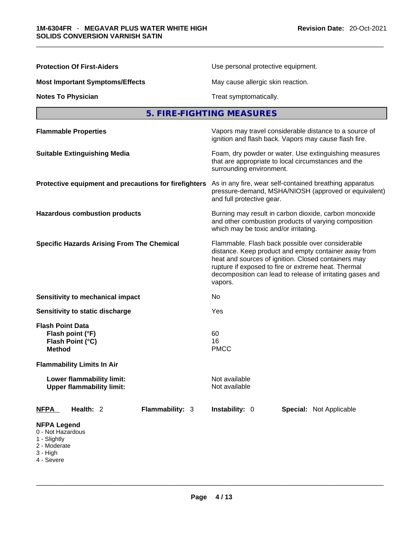| <b>Protection Of First-Aiders</b>                                                                                     | Use personal protective equipment.                                                                                                                                                                                                                                                             |  |  |
|-----------------------------------------------------------------------------------------------------------------------|------------------------------------------------------------------------------------------------------------------------------------------------------------------------------------------------------------------------------------------------------------------------------------------------|--|--|
| <b>Most Important Symptoms/Effects</b>                                                                                | May cause allergic skin reaction.                                                                                                                                                                                                                                                              |  |  |
| <b>Notes To Physician</b>                                                                                             | Treat symptomatically.                                                                                                                                                                                                                                                                         |  |  |
|                                                                                                                       | 5. FIRE-FIGHTING MEASURES                                                                                                                                                                                                                                                                      |  |  |
| <b>Flammable Properties</b>                                                                                           | Vapors may travel considerable distance to a source of<br>ignition and flash back. Vapors may cause flash fire.                                                                                                                                                                                |  |  |
| <b>Suitable Extinguishing Media</b>                                                                                   | Foam, dry powder or water. Use extinguishing measures<br>that are appropriate to local circumstances and the<br>surrounding environment.                                                                                                                                                       |  |  |
| Protective equipment and precautions for firefighters                                                                 | As in any fire, wear self-contained breathing apparatus<br>pressure-demand, MSHA/NIOSH (approved or equivalent)<br>and full protective gear.                                                                                                                                                   |  |  |
| <b>Hazardous combustion products</b>                                                                                  | Burning may result in carbon dioxide, carbon monoxide<br>and other combustion products of varying composition<br>which may be toxic and/or irritating.                                                                                                                                         |  |  |
| <b>Specific Hazards Arising From The Chemical</b>                                                                     | Flammable. Flash back possible over considerable<br>distance. Keep product and empty container away from<br>heat and sources of ignition. Closed containers may<br>rupture if exposed to fire or extreme heat. Thermal<br>decomposition can lead to release of irritating gases and<br>vapors. |  |  |
| Sensitivity to mechanical impact                                                                                      | No                                                                                                                                                                                                                                                                                             |  |  |
| Sensitivity to static discharge                                                                                       | Yes                                                                                                                                                                                                                                                                                            |  |  |
| <b>Flash Point Data</b><br>Flash point (°F)<br>Flash Point (°C)<br><b>Method</b><br><b>Flammability Limits In Air</b> | 60<br>16<br><b>PMCC</b>                                                                                                                                                                                                                                                                        |  |  |
| Lower flammability limit:<br><b>Upper flammability limit:</b>                                                         | Not available<br>Not available                                                                                                                                                                                                                                                                 |  |  |
| <b>NFPA</b><br>Health: 2<br><b>Flammability: 3</b>                                                                    | Instability: 0<br>Special: Not Applicable                                                                                                                                                                                                                                                      |  |  |
| <b>NFPA Legend</b><br>0 - Not Hazardous<br>1 - Slightly<br>2 - Moderate<br>3 - High<br>4 - Severe                     |                                                                                                                                                                                                                                                                                                |  |  |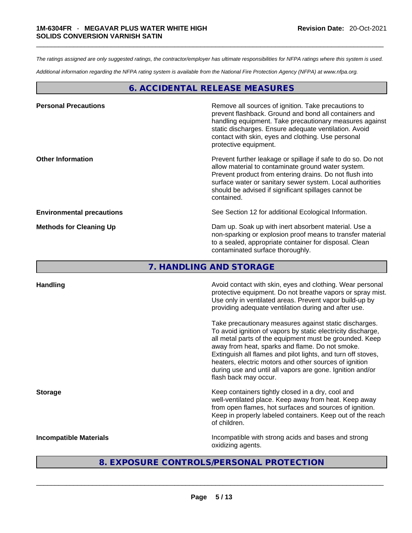*The ratings assigned are only suggested ratings, the contractor/employer has ultimate responsibilities for NFPA ratings where this system is used.* 

*Additional information regarding the NFPA rating system is available from the National Fire Protection Agency (NFPA) at www.nfpa.org.* 

#### **6. ACCIDENTAL RELEASE MEASURES**

| <b>Personal Precautions</b>      | Remove all sources of ignition. Take precautions to<br>prevent flashback. Ground and bond all containers and<br>handling equipment. Take precautionary measures against<br>static discharges. Ensure adequate ventilation. Avoid<br>contact with skin, eyes and clothing. Use personal<br>protective equipment.  |
|----------------------------------|------------------------------------------------------------------------------------------------------------------------------------------------------------------------------------------------------------------------------------------------------------------------------------------------------------------|
| <b>Other Information</b>         | Prevent further leakage or spillage if safe to do so. Do not<br>allow material to contaminate ground water system.<br>Prevent product from entering drains. Do not flush into<br>surface water or sanitary sewer system. Local authorities<br>should be advised if significant spillages cannot be<br>contained. |
| <b>Environmental precautions</b> | See Section 12 for additional Ecological Information.                                                                                                                                                                                                                                                            |
| <b>Methods for Cleaning Up</b>   | Dam up. Soak up with inert absorbent material. Use a<br>non-sparking or explosion proof means to transfer material<br>to a sealed, appropriate container for disposal. Clean<br>contaminated surface thoroughly.                                                                                                 |

**7. HANDLING AND STORAGE** 

| <b>Handling</b>               | Avoid contact with skin, eyes and clothing. Wear personal<br>protective equipment. Do not breathe vapors or spray mist.<br>Use only in ventilated areas. Prevent vapor build-up by<br>providing adequate ventilation during and after use.                                                                                                                                                                                                           |
|-------------------------------|------------------------------------------------------------------------------------------------------------------------------------------------------------------------------------------------------------------------------------------------------------------------------------------------------------------------------------------------------------------------------------------------------------------------------------------------------|
|                               | Take precautionary measures against static discharges.<br>To avoid ignition of vapors by static electricity discharge,<br>all metal parts of the equipment must be grounded. Keep<br>away from heat, sparks and flame. Do not smoke.<br>Extinguish all flames and pilot lights, and turn off stoves,<br>heaters, electric motors and other sources of ignition<br>during use and until all vapors are gone. Ignition and/or<br>flash back may occur. |
| <b>Storage</b>                | Keep containers tightly closed in a dry, cool and<br>well-ventilated place. Keep away from heat. Keep away<br>from open flames, hot surfaces and sources of ignition.<br>Keep in properly labeled containers. Keep out of the reach<br>of children.                                                                                                                                                                                                  |
| <b>Incompatible Materials</b> | Incompatible with strong acids and bases and strong<br>oxidizing agents.                                                                                                                                                                                                                                                                                                                                                                             |
|                               | 8. EXPOSURE CONTROLS/PERSONAL PROTECTION                                                                                                                                                                                                                                                                                                                                                                                                             |
|                               |                                                                                                                                                                                                                                                                                                                                                                                                                                                      |

#### **8. EXPOSURE CONTROLS/PERSONAL PROTECTION**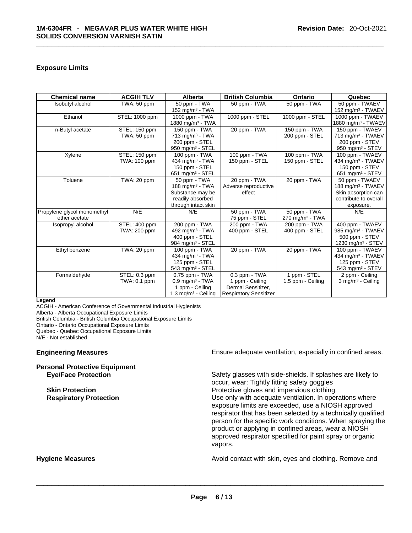#### **Exposure Limits**

| <b>Chemical name</b>        | <b>ACGIH TLV</b>    | Alberta                         | <b>British Columbia</b>       | <b>Ontario</b>                | Quebec                         |
|-----------------------------|---------------------|---------------------------------|-------------------------------|-------------------------------|--------------------------------|
| Isobutyl alcohol            | TWA: 50 ppm         | 50 ppm - TWA                    | 50 ppm - TWA                  | 50 ppm - TWA                  | 50 ppm - TWAEV                 |
|                             |                     | 152 mg/m $3$ - TWA              |                               |                               | 152 mg/m $3$ - TWAEV           |
| Ethanol                     | STEL: 1000 ppm      | 1000 ppm - TWA                  | 1000 ppm - STEL               | 1000 ppm - STEL               | 1000 ppm - TWAEV               |
|                             |                     | 1880 mg/m <sup>3</sup> - TWA    |                               |                               | 1880 mg/m <sup>3</sup> - TWAEV |
| n-Butyl acetate             | STEL: 150 ppm       | 150 ppm - TWA                   | 20 ppm - TWA                  | 150 ppm - TWA                 | 150 ppm - TWAEV                |
|                             | TWA: 50 ppm         | $713$ mg/m <sup>3</sup> - TWA   |                               | 200 ppm - STEL                | 713 mg/m <sup>3</sup> - TWAEV  |
|                             |                     | 200 ppm - STEL                  |                               |                               | 200 ppm - STEV                 |
|                             |                     | 950 mg/m $3 -$ STEL             |                               |                               | 950 mg/m $3 -$ STEV            |
| Xylene                      | STEL: 150 ppm       | 100 ppm - TWA                   | 100 ppm - TWA                 | 100 ppm - TWA                 | 100 ppm - TWAEV                |
|                             | TWA: 100 ppm        | 434 mg/m <sup>3</sup> - TWA     | 150 ppm - STEL                | 150 ppm - STEL                | 434 mg/m <sup>3</sup> - TWAEV  |
|                             |                     | 150 ppm - STEL                  |                               |                               | 150 ppm - STEV                 |
|                             |                     | 651 mg/m $3 -$ STEL             |                               |                               | 651 mg/m <sup>3</sup> - STEV   |
| Toluene                     | TWA: 20 ppm         | 50 ppm - TWA                    | 20 ppm - TWA                  | 20 ppm - TWA                  | 50 ppm - TWAEV                 |
|                             |                     | 188 mg/m <sup>3</sup> - TWA     | Adverse reproductive          |                               | 188 mg/m <sup>3</sup> - TWAEV  |
|                             |                     | Substance may be                | effect                        |                               | Skin absorption can            |
|                             |                     | readily absorbed                |                               |                               | contribute to overall          |
|                             |                     | through intact skin             |                               |                               | exposure.                      |
| Propylene glycol monomethyl | N/E                 | N/E                             | 50 ppm - TWA                  | 50 ppm - TWA                  | N/E                            |
| ether acetate               |                     |                                 | 75 ppm - STEL                 | $270$ mg/m <sup>3</sup> - TWA |                                |
| Isopropyl alcohol           | STEL: 400 ppm       | 200 ppm - TWA                   | 200 ppm - TWA                 | 200 ppm - TWA                 | 400 ppm - TWAEV                |
|                             | <b>TWA: 200 ppm</b> | 492 mg/m <sup>3</sup> - TWA     | 400 ppm - STEL                | 400 ppm - STEL                | 985 mg/m <sup>3</sup> - TWAEV  |
|                             |                     | 400 ppm - STEL                  |                               |                               | 500 ppm - STEV                 |
|                             |                     | 984 mg/m $3 -$ STEL             |                               |                               | 1230 mg/m <sup>3</sup> - STEV  |
| Ethyl benzene               | TWA: 20 ppm         | 100 ppm - TWA                   | 20 ppm - TWA                  | 20 ppm - TWA                  | 100 ppm - TWAEV                |
|                             |                     | 434 mg/m <sup>3</sup> - TWA     |                               |                               | 434 mg/m <sup>3</sup> - TWAEV  |
|                             |                     | 125 ppm - STEL                  |                               |                               | 125 ppm - STEV                 |
|                             |                     | 543 mg/m $3 -$ STEL             |                               |                               | 543 mg/m $3 -$ STEV            |
| Formaldehyde                | STEL: 0.3 ppm       | $0.75$ ppm $-$ TWA              | 0.3 ppm - TWA                 | 1 ppm - STEL                  | 2 ppm - Ceiling                |
|                             | TWA: 0.1 ppm        | $0.9$ mg/m <sup>3</sup> - TWA   | 1 ppm - Ceiling               | 1.5 ppm - Ceiling             | 3 mg/m <sup>3</sup> - Ceiling  |
|                             |                     | 1 ppm - Ceiling                 | Dermal Sensitizer,            |                               |                                |
|                             |                     | 1.3 mg/m <sup>3</sup> - Ceiling | <b>Respiratory Sensitizer</b> |                               |                                |

#### **Legend**

ACGIH - American Conference of Governmental Industrial Hygienists

Alberta - Alberta Occupational Exposure Limits

British Columbia - British Columbia Occupational Exposure Limits

Ontario - Ontario Occupational Exposure Limits

Quebec - Quebec Occupational Exposure Limits

N/E - Not established

## **Personal Protective Equipment**

**Engineering Measures Ensure 2018** Ensure adequate ventilation, especially in confined areas.

**Eye/Face Protection** Safety glasses with side-shields. If splashes are likely to occur, wear: Tightly fitting safety goggles **Skin Protection Protection Protective gloves and impervious clothing. Respiratory Protection Number 2012** Use only with adequate ventilation. In operations where exposure limits are exceeded, use a NIOSH approved respirator that has been selected by a technically qualified person for the specific work conditions. When spraying the product or applying in confined areas, wear a NIOSH approved respirator specified for paint spray or organic vapors.

**Hygiene Measures Avoid contact with skin, eyes and clothing. Remove and Hygiene Measures** and clothing. Remove and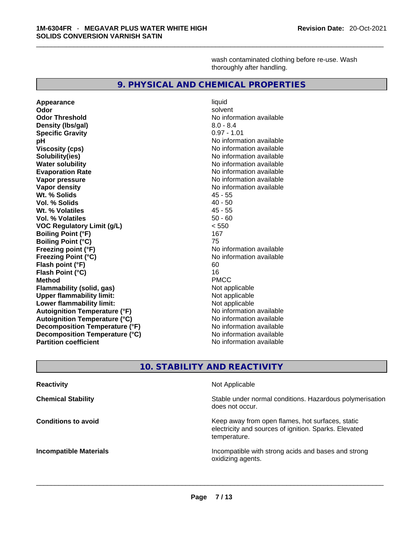wash contaminated clothing before re-use. Wash thoroughly after handling.

#### **9. PHYSICAL AND CHEMICAL PROPERTIES**

**Appearance** liquid **Odor Solvent Solvent Solvent Solvent Odor Threshold No information available** No information available **Density (Ibs/gal)** 8.0 - 8.4<br> **Specific Gravity** 8.0 - 8.4<br> **Specific Gravity** 8.0 - 8.4 **Specific Gravity pH**<br>
Viscosity (cps) The Contract of the Contract of the Viscosity (cps) and Viscosity (cps) **Solubility(ies)**<br> **No information available**<br> **Water solubility**<br> **Water solubility Evaporation Rate No information available No information available Vapor pressure**  No information available **No information** available **Vapor density**<br> **We Solids**<br>
We Solids
25 - 55<br>
25 - 55 Wt. % Solids **Vol. % Solids** 40 - 50 **Wt. % Volatiles Vol. % Volatiles** 50 - 60 **VOC Regulatory Limit (g/L)** < 550 **Boiling Point (°F) Boiling Point (°C)** 75 **Freezing point (°F)** and the state of the No information available **Freezing Point (°C)** No information available **Flash point (°F)** 60 **Flash Point (°C)** 16 **Method** PMCC **Flammability (solid, gas)** Not applicable **Upper flammability limit:**<br> **Lower flammability limit:** Not applicable Not applicable **Lower flammability limit:**<br> **Autoignition Temperature (°F)** Not applicable havailable available **Autoignition Temperature (°F)**<br> **Autoignition Temperature (°C)** No information available **Autoignition Temperature (°C)**<br> **Decomposition Temperature (°F)** No information available **Decomposition Temperature (°F) Decomposition Temperature (°C)** No information available **Partition coefficient** No information available

**Viscosity (cps)** No information available **No information available** 

#### **10. STABILITY AND REACTIVITY**

| <b>Reactivity</b>             | Not Applicable                                                                                                            |
|-------------------------------|---------------------------------------------------------------------------------------------------------------------------|
| <b>Chemical Stability</b>     | Stable under normal conditions. Hazardous polymerisation<br>does not occur.                                               |
| <b>Conditions to avoid</b>    | Keep away from open flames, hot surfaces, static<br>electricity and sources of ignition. Sparks. Elevated<br>temperature. |
| <b>Incompatible Materials</b> | Incompatible with strong acids and bases and strong<br>oxidizing agents.                                                  |
|                               |                                                                                                                           |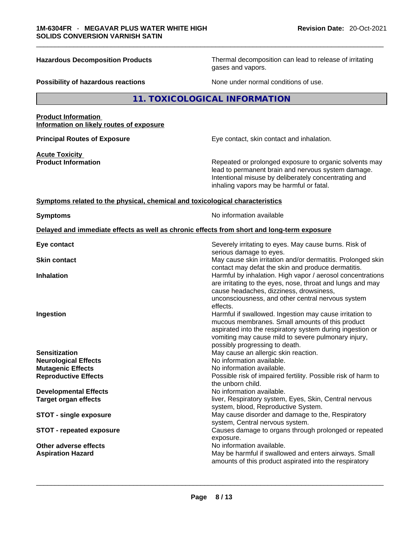**Hazardous Decomposition Products** Thermal decomposition can lead to release of irritating gases and vapors.

**Possibility of hazardous reactions** None under normal conditions of use.

#### **11. TOXICOLOGICAL INFORMATION**

#### **Product Information Information on likely routes of exposure**

**Acute Toxicity** 

**Principal Routes of Exposure Exposure** Eye contact, skin contact and inhalation.

**Product Information Repeated or prolonged exposure to organic solvents may** Repeated or prolonged exposure to organic solvents may lead to permanent brain and nervous system damage. Intentional misuse by deliberately concentrating and inhaling vapors may be harmful or fatal.

#### **<u>Symptoms related to the physical, chemical and toxicological characteristics</u>**

**Symptoms Symptoms No information available** 

#### **Delayed and immediate effects as well as chronic effects from short and long-term exposure**

| Eye contact                     | Severely irritating to eyes. May cause burns. Risk of<br>serious damage to eyes.                                                                                                                                                                                 |
|---------------------------------|------------------------------------------------------------------------------------------------------------------------------------------------------------------------------------------------------------------------------------------------------------------|
| <b>Skin contact</b>             | May cause skin irritation and/or dermatitis. Prolonged skin<br>contact may defat the skin and produce dermatitis.                                                                                                                                                |
| <b>Inhalation</b>               | Harmful by inhalation. High vapor / aerosol concentrations<br>are irritating to the eyes, nose, throat and lungs and may<br>cause headaches, dizziness, drowsiness,<br>unconsciousness, and other central nervous system<br>effects.                             |
| Ingestion                       | Harmful if swallowed. Ingestion may cause irritation to<br>mucous membranes. Small amounts of this product<br>aspirated into the respiratory system during ingestion or<br>vomiting may cause mild to severe pulmonary injury,<br>possibly progressing to death. |
| <b>Sensitization</b>            | May cause an allergic skin reaction.                                                                                                                                                                                                                             |
| <b>Neurological Effects</b>     | No information available.                                                                                                                                                                                                                                        |
| <b>Mutagenic Effects</b>        | No information available.                                                                                                                                                                                                                                        |
| <b>Reproductive Effects</b>     | Possible risk of impaired fertility. Possible risk of harm to<br>the unborn child.                                                                                                                                                                               |
| <b>Developmental Effects</b>    | No information available.                                                                                                                                                                                                                                        |
| <b>Target organ effects</b>     | liver, Respiratory system, Eyes, Skin, Central nervous<br>system, blood, Reproductive System.                                                                                                                                                                    |
| <b>STOT - single exposure</b>   | May cause disorder and damage to the, Respiratory<br>system, Central nervous system.                                                                                                                                                                             |
| <b>STOT - repeated exposure</b> | Causes damage to organs through prolonged or repeated<br>exposure.                                                                                                                                                                                               |
| Other adverse effects           | No information available.                                                                                                                                                                                                                                        |
| <b>Aspiration Hazard</b>        | May be harmful if swallowed and enters airways. Small<br>amounts of this product aspirated into the respiratory                                                                                                                                                  |
|                                 |                                                                                                                                                                                                                                                                  |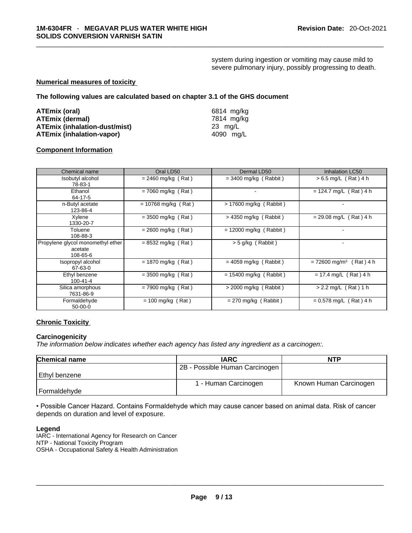system during ingestion or vomiting may cause mild to severe pulmonary injury, possibly progressing to death.

#### **Numerical measures of toxicity**

**The following values are calculated based on chapter 3.1 of the GHS document**

| ATEmix (oral)                        | 6814 mg/ka |
|--------------------------------------|------------|
| <b>ATEmix (dermal)</b>               | 7814 ma/ka |
| <b>ATEmix (inhalation-dust/mist)</b> | 23 ma/L    |
| <b>ATEmix (inhalation-vapor)</b>     | 4090 ma/L  |

#### **Component Information**

| Chemical name                                            | Oral LD50             | Dermal LD50              | <b>Inhalation LC50</b>                  |
|----------------------------------------------------------|-----------------------|--------------------------|-----------------------------------------|
| Isobutyl alcohol<br>78-83-1                              | $= 2460$ mg/kg (Rat)  | $=$ 3400 mg/kg (Rabbit)  | $> 6.5$ mg/L (Rat) 4 h                  |
| Ethanol<br>64-17-5                                       | $= 7060$ mg/kg (Rat)  | ۰                        | $= 124.7$ mg/L (Rat) 4 h                |
| n-Butyl acetate<br>123-86-4                              | $= 10768$ mg/kg (Rat) | > 17600 mg/kg (Rabbit)   |                                         |
| Xylene<br>1330-20-7                                      | $=$ 3500 mg/kg (Rat)  | $>$ 4350 mg/kg (Rabbit)  | $= 29.08$ mg/L (Rat) 4 h                |
| Toluene<br>108-88-3                                      | $= 2600$ mg/kg (Rat)  | $= 12000$ mg/kg (Rabbit) |                                         |
| Propylene glycol monomethyl ether<br>acetate<br>108-65-6 | $= 8532$ mg/kg (Rat)  | $>$ 5 g/kg (Rabbit)      |                                         |
| Isopropyl alcohol<br>67-63-0                             | $= 1870$ mg/kg (Rat)  | $= 4059$ mg/kg (Rabbit)  | $= 72600$ mg/m <sup>3</sup><br>(Rat)4 h |
| Ethyl benzene<br>100-41-4                                | $= 3500$ mg/kg (Rat)  | $= 15400$ mg/kg (Rabbit) | $= 17.4$ mg/L (Rat) 4 h                 |
| Silica amorphous<br>7631-86-9                            | $= 7900$ mg/kg (Rat)  | $>$ 2000 mg/kg (Rabbit)  | $> 2.2$ mg/L (Rat) 1 h                  |
| Formaldehyde<br>$50-00-0$                                | $= 100$ mg/kg (Rat)   | $= 270$ mg/kg (Rabbit)   | $= 0.578$ mg/L (Rat) 4 h                |

#### **Chronic Toxicity**

#### **Carcinogenicity**

*The information below indicates whether each agency has listed any ingredient as a carcinogen:.* 

| <b>Chemical name</b> | <b>IARC</b>                    | <b>NTP</b>             |
|----------------------|--------------------------------|------------------------|
|                      | 2B - Possible Human Carcinogen |                        |
| l Ethvl benzene      |                                |                        |
|                      | 1 - Human Carcinogen           | Known Human Carcinogen |
| Formaldehyde         |                                |                        |

• Possible Cancer Hazard. Contains Formaldehyde which may cause cancer based on animal data. Risk of cancer depends on duration and level of exposure.

#### **Legend**

IARC - International Agency for Research on Cancer NTP - National Toxicity Program OSHA - Occupational Safety & Health Administration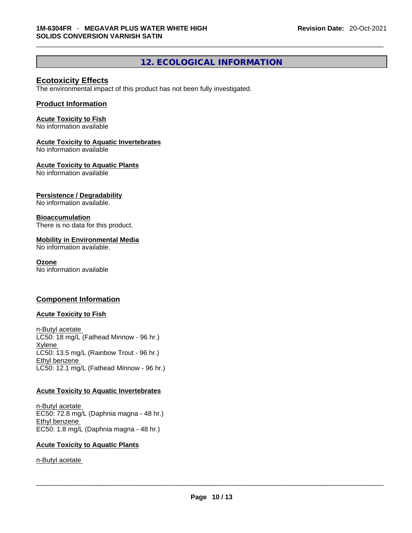### **12. ECOLOGICAL INFORMATION**

#### **Ecotoxicity Effects**

The environmental impact of this product has not been fully investigated.

#### **Product Information**

#### **Acute Toxicity to Fish**

No information available

#### **Acute Toxicity to Aquatic Invertebrates**

No information available

#### **Acute Toxicity to Aquatic Plants**

No information available

#### **Persistence / Degradability**

No information available.

#### **Bioaccumulation**

There is no data for this product.

#### **Mobility in Environmental Media**

No information available.

#### **Ozone**

No information available

#### **Component Information**

#### **Acute Toxicity to Fish**

n-Butyl acetate LC50: 18 mg/L (Fathead Minnow - 96 hr.) **Xylene** LC50: 13.5 mg/L (Rainbow Trout - 96 hr.) Ethyl benzene LC50: 12.1 mg/L (Fathead Minnow - 96 hr.)

#### **Acute Toxicity to Aquatic Invertebrates**

n-Butyl acetate EC50: 72.8 mg/L (Daphnia magna - 48 hr.) Ethyl benzene EC50: 1.8 mg/L (Daphnia magna - 48 hr.)

#### **Acute Toxicity to Aquatic Plants**

n-Butyl acetate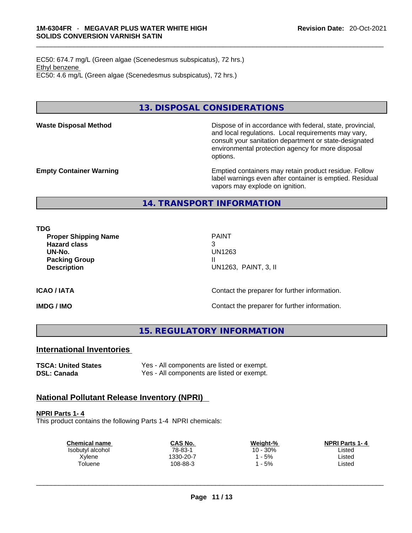EC50: 674.7 mg/L (Green algae (Scenedesmus subspicatus), 72 hrs.) Ethyl benzene EC50: 4.6 mg/L (Green algae (Scenedesmus subspicatus), 72 hrs.)

**13. DISPOSAL CONSIDERATIONS** 

**Waste Disposal Method** Dispose of in accordance with federal, state, provincial, and local regulations. Local requirements may vary, consult your sanitation department or state-designated environmental protection agency for more disposal options.

**Empty Container Warning <b>Emptied** Containers may retain product residue. Follow label warnings even after container is emptied. Residual vapors may explode on ignition.

#### **14. TRANSPORT INFORMATION**

**TDG** 

**Proper Shipping Name** PAINT **Hazard class** 3 **UN-No.** UN1263 **Packing Group III Description** UN1263, PAINT, 3, II

**ICAO / IATA ICAO / IATA Contact the preparer for further information.** 

**IMDG / IMO IMO Contact the preparer for further information.** 

**15. REGULATORY INFORMATION** 

#### **International Inventories**

**TSCA: United States** Yes - All components are listed or exempt. **DSL: Canada** Yes - All components are listed or exempt.

### **National Pollutant Release Inventory (NPRI)**

**NPRI Parts 1- 4**

This product contains the following Parts 1-4 NPRI chemicals:

| <b>Chemical name</b> | CAS No.   | Weight-% | <b>NPRI Parts 1-4</b> |  |
|----------------------|-----------|----------|-----------------------|--|
| Isobutyl alcohol     | 78-83-1   | 10 - 30% | _isted                |  |
| Xylene               | 1330-20-7 | $-5%$    | Listed                |  |
| Toluene              | 108-88-3  | $-5%$    | Listed                |  |
|                      |           |          |                       |  |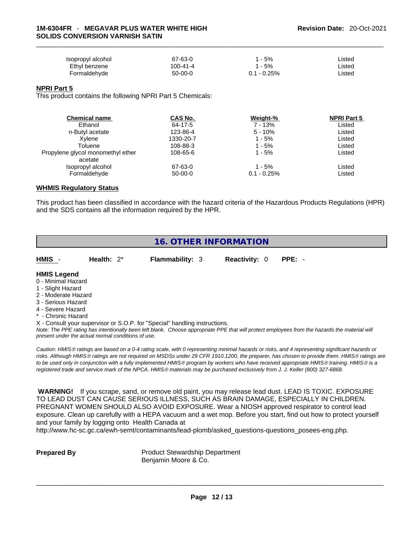| Isopropyl alcohol | 67-63-0   | - 5%          | Listed |
|-------------------|-----------|---------------|--------|
| Ethyl benzene     | 100-41-4  | l - 5%        | ∟isted |
| Formaldehvde      | $50-00-0$ | $0.1 - 0.25%$ | _isted |

#### **NPRI Part 5**

This product contains the following NPRI Part 5 Chemicals:

| <b>Chemical name</b>              | CAS No.   | Weight-%      | <b>NPRI Part 5</b> |  |
|-----------------------------------|-----------|---------------|--------------------|--|
| Ethanol                           | 64-17-5   | 7 - 13%       | Listed             |  |
| n-Butyl acetate                   | 123-86-4  | 5 - 10%       | Listed             |  |
| Xvlene                            | 1330-20-7 | 1 - 5%        | Listed             |  |
| Toluene                           | 108-88-3  | 1 - 5%        | Listed             |  |
| Propylene glycol monomethyl ether | 108-65-6  | 1 - 5%        | Listed             |  |
| acetate                           |           |               |                    |  |
| Isopropyl alcohol                 | 67-63-0   | 1 - 5%        | Listed             |  |
| Formaldehyde                      | $50-00-0$ | $0.1 - 0.25%$ | Listed             |  |
|                                   |           |               |                    |  |

#### **WHMIS Regulatory Status**

This product has been classified in accordance with the hazard criteria of the Hazardous Products Regulations (HPR) and the SDS contains all the information required by the HPR.

#### **16. OTHER INFORMATION**

| <b>HMIS</b>                                                   | Health: $2^*$ | <b>Flammability: 3</b> | <b>Reactivity: 0</b> | $PPE: -$ |
|---------------------------------------------------------------|---------------|------------------------|----------------------|----------|
| <b>HMIS Legend</b><br>0 - Minimal Hazard<br>1 - Slight Hazard |               |                        |                      |          |

- 2 Moderate Hazard
- 3 Serious Hazard
- 4 Severe Hazard
- \* Chronic Hazard

X - Consult your supervisor or S.O.P. for "Special" handling instructions.

Note: The PPE rating has intentionally been left blank. Choose appropriate PPE that will protect employees from the hazards the material will *present under the actual normal conditions of use.* 

*Caution: HMISÒ ratings are based on a 0-4 rating scale, with 0 representing minimal hazards or risks, and 4 representing significant hazards or risks. Although HMISÒ ratings are not required on MSDSs under 29 CFR 1910.1200, the preparer, has chosen to provide them. HMISÒ ratings are to be used only in conjunction with a fully implemented HMISÒ program by workers who have received appropriate HMISÒ training. HMISÒ is a registered trade and service mark of the NPCA. HMISÒ materials may be purchased exclusively from J. J. Keller (800) 327-6868.* 

 **WARNING!** If you scrape, sand, or remove old paint, you may release lead dust. LEAD IS TOXIC. EXPOSURE TO LEAD DUST CAN CAUSE SERIOUS ILLNESS, SUCH AS BRAIN DAMAGE, ESPECIALLY IN CHILDREN. PREGNANT WOMEN SHOULD ALSO AVOID EXPOSURE.Wear a NIOSH approved respirator to control lead exposure. Clean up carefully with a HEPA vacuum and a wet mop. Before you start, find out how to protect yourself and your family by logging onto Health Canada at

http://www.hc-sc.gc.ca/ewh-semt/contaminants/lead-plomb/asked\_questions-questions\_posees-eng.php.

**Prepared By Product Stewardship Department** Benjamin Moore & Co.